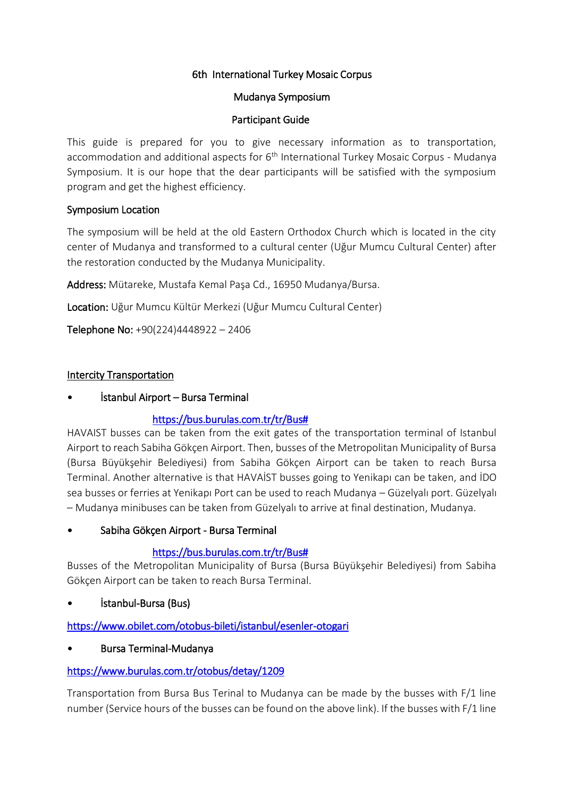### 6th International Turkey Mosaic Corpus

#### Mudanya Symposium

#### Participant Guide

This guide is prepared for you to give necessary information as to transportation, accommodation and additional aspects for  $6<sup>th</sup>$  International Turkey Mosaic Corpus - Mudanya Symposium. It is our hope that the dear participants will be satisfied with the symposium program and get the highest efficiency.

### Symposium Location

The symposium will be held at the old Eastern Orthodox Church which is located in the city center of Mudanya and transformed to a cultural center (Uğur Mumcu Cultural Center) after the restoration conducted by the Mudanya Municipality.

Address: Mütareke, Mustafa Kemal Paşa Cd., 16950 Mudanya/Bursa.

Location: Uğur Mumcu Kültür Merkezi (Uğur Mumcu Cultural Center)

Telephone No: +90(224)4448922 – 2406

### **Intercity Transportation**

• İstanbul Airport – Bursa Terminal

# [https://bus.burulas.com.tr/tr/Bus#](https://bus.burulas.com.tr/tr/Bus)

HAVAIST busses can be taken from the exit gates of the transportation terminal of Istanbul Airport to reach Sabiha Gökçen Airport. Then, busses of the Metropolitan Municipality of Bursa (Bursa Büyükşehir Belediyesi) from Sabiha Gökçen Airport can be taken to reach Bursa Terminal. Another alternative is that HAVAİST busses going to Yenikapı can be taken, and İDO sea busses or ferries at Yenikapı Port can be used to reach Mudanya – Güzelyalı port. Güzelyalı – Mudanya minibuses can be taken from Güzelyalı to arrive at final destination, Mudanya.

• Sabiha Gökçen Airport - Bursa Terminal

# [https://bus.burulas.com.tr/tr/Bus#](https://bus.burulas.com.tr/tr/Bus)

Busses of the Metropolitan Municipality of Bursa (Bursa Büyükşehir Belediyesi) from Sabiha Gökçen Airport can be taken to reach Bursa Terminal.

• İstanbul-Bursa (Bus)

<https://www.obilet.com/otobus-bileti/istanbul/esenler-otogari>

• Bursa Terminal-Mudanya

# <https://www.burulas.com.tr/otobus/detay/1209>

Transportation from Bursa Bus Terinal to Mudanya can be made by the busses with F/1 line number (Service hours of the busses can be found on the above link). If the busses with F/1 line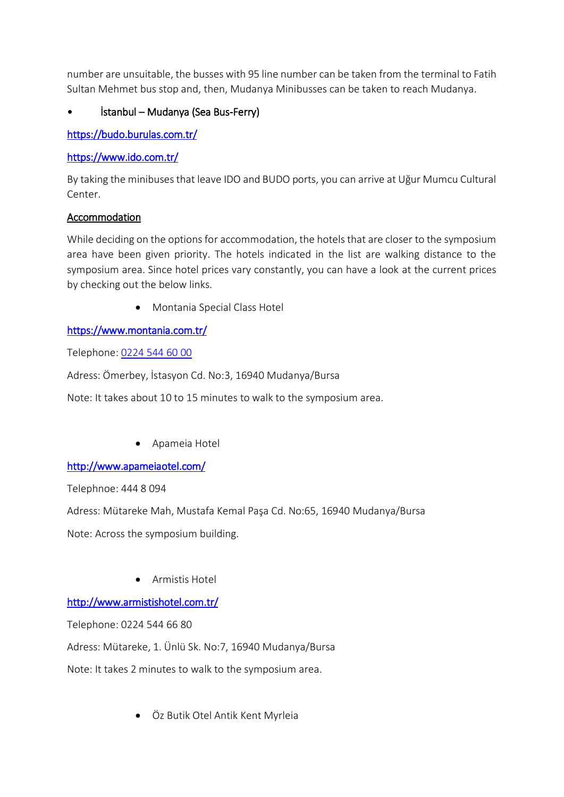number are unsuitable, the busses with 95 line number can be taken from the terminal to Fatih Sultan Mehmet bus stop and, then, Mudanya Minibusses can be taken to reach Mudanya.

# • İstanbul – Mudanya (Sea Bus-Ferry)

<https://budo.burulas.com.tr/>

### <https://www.ido.com.tr/>

By taking the minibuses that leave IDO and BUDO ports, you can arrive at Uğur Mumcu Cultural Center.

### Accommodation

While deciding on the options for accommodation, the hotels that are closer to the symposium area have been given priority. The hotels indicated in the list are walking distance to the symposium area. Since hotel prices vary constantly, you can have a look at the current prices by checking out the below links.

Montania Special Class Hotel

# <https://www.montania.com.tr/>

Telephone: [0224 544 60 00](https://www.google.com/search?gs_ssp=eJzj4tZP1zcsSTHMNS3LMGC0UjWoMDRJTjRONUtLMjFINUs1SLIyqDAyTTIwMkkxSrYwNTQ3tEzy4svNzytJzMtMVMjIL0nNAQCcvhRI&q=montania+hotel&rlz=1C1GCEU_trTR821TR821&oq=montanya+&aqs=chrome.1.69i57j46i10i175i199l2j0i10l6.3775j0j4&sourceid=chrome&ie=UTF-8)

Adress: Ömerbey, İstasyon Cd. No:3, 16940 Mudanya/Bursa

Note: It takes about 10 to 15 minutes to walk to the symposium area.

Apameia Hotel

# <http://www.apameiaotel.com/>

Telephnoe: 444 8 094

Adress: Mütareke Mah, Mustafa Kemal Paşa Cd. No:65, 16940 Mudanya/Bursa

Note: Across the symposium building.

Armistis Hotel

# <http://www.armistishotel.com.tr/>

Telephone: 0224 544 66 80

Adress: Mütareke, 1. Ünlü Sk. No:7, 16940 Mudanya/Bursa

Note: It takes 2 minutes to walk to the symposium area.

Öz Butik Otel Antik Kent Myrleia